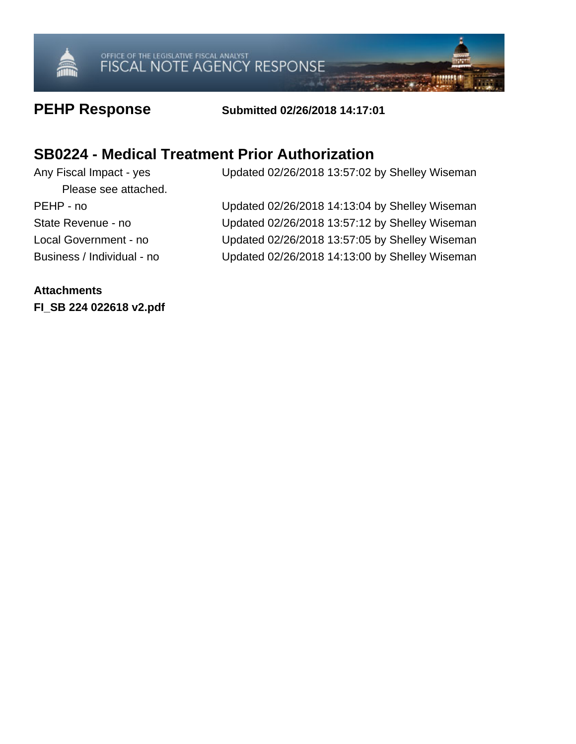

### **PEHP Response Submitted 02/26/2018 14:17:01**

## **SB0224 - Medical Treatment Prior Authorization**

Any Fiscal Impact - yes Updated 02/26/2018 13:57:02 by Shelley Wiseman Please see attached. PEHP - no Updated 02/26/2018 14:13:04 by Shelley Wiseman State Revenue - no Updated 02/26/2018 13:57:12 by Shelley Wiseman Local Government - no Updated 02/26/2018 13:57:05 by Shelley Wiseman Business / Individual - no Updated 02/26/2018 14:13:00 by Shelley Wiseman

**Attachments FI\_SB 224 022618 v2.pdf**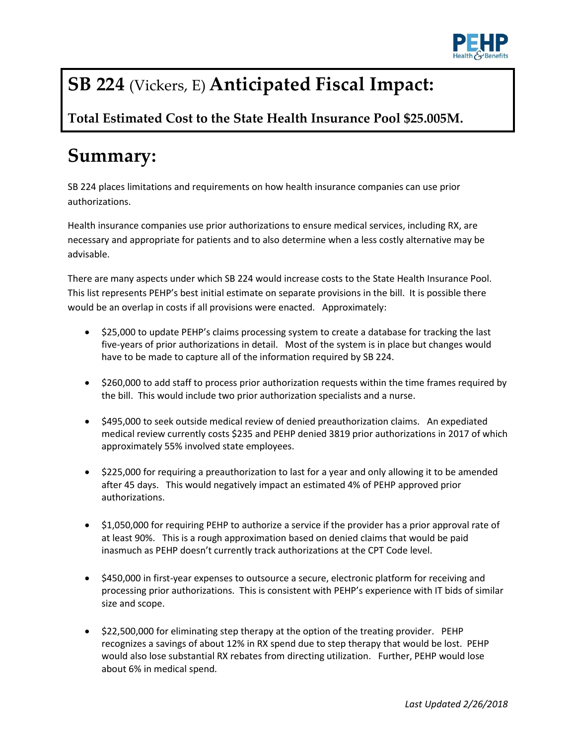

# **SB 224** (Vickers, E) **Anticipated Fiscal Impact:**

**Total Estimated Cost to the State Health Insurance Pool \$25.005M.**

# **Summary:**

SB 224 places limitations and requirements on how health insurance companies can use prior authorizations.

Health insurance companies use prior authorizations to ensure medical services, including RX, are necessary and appropriate for patients and to also determine when a less costly alternative may be advisable.

There are many aspects under which SB 224 would increase costs to the State Health Insurance Pool. This list represents PEHP's best initial estimate on separate provisions in the bill. It is possible there would be an overlap in costs if all provisions were enacted. Approximately:

- \$25,000 to update PEHP's claims processing system to create a database for tracking the last five-years of prior authorizations in detail. Most of the system is in place but changes would have to be made to capture all of the information required by SB 224.
- \$260,000 to add staff to process prior authorization requests within the time frames required by the bill. This would include two prior authorization specialists and a nurse.
- \$495,000 to seek outside medical review of denied preauthorization claims. An expediated medical review currently costs \$235 and PEHP denied 3819 prior authorizations in 2017 of which approximately 55% involved state employees.
- \$225,000 for requiring a preauthorization to last for a year and only allowing it to be amended after 45 days. This would negatively impact an estimated 4% of PEHP approved prior authorizations.
- \$1,050,000 for requiring PEHP to authorize a service if the provider has a prior approval rate of at least 90%. This is a rough approximation based on denied claims that would be paid inasmuch as PEHP doesn't currently track authorizations at the CPT Code level.
- \$450,000 in first-year expenses to outsource a secure, electronic platform for receiving and processing prior authorizations. This is consistent with PEHP's experience with IT bids of similar size and scope.
- \$22,500,000 for eliminating step therapy at the option of the treating provider. PEHP recognizes a savings of about 12% in RX spend due to step therapy that would be lost. PEHP would also lose substantial RX rebates from directing utilization. Further, PEHP would lose about 6% in medical spend.